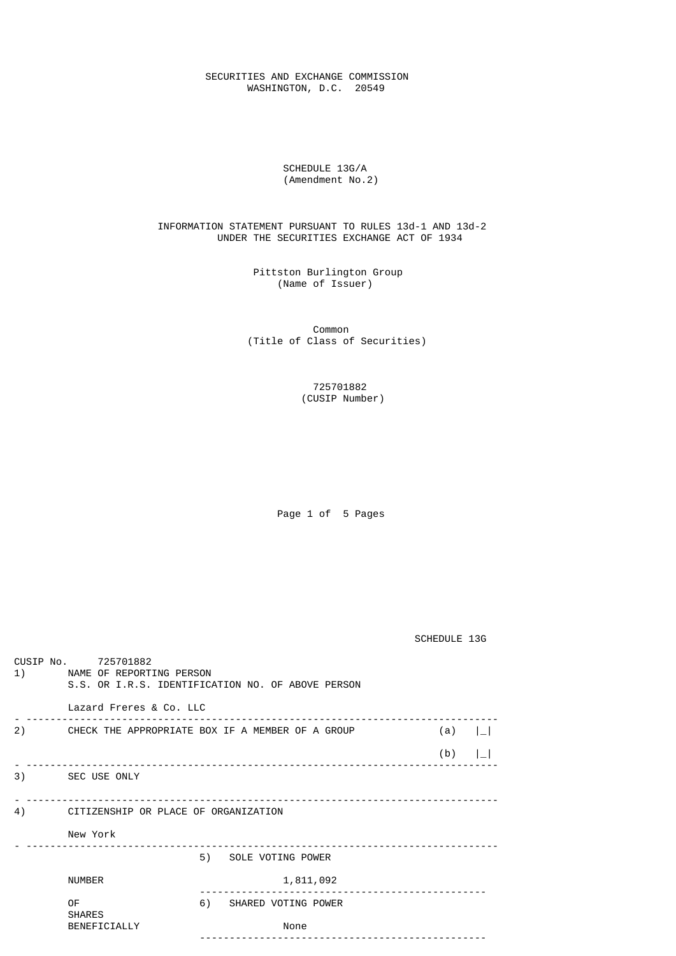SECURITIES AND EXCHANGE COMMISSION WASHINGTON, D.C. 20549

## SCHEDULE 13G/A (Amendment No.2)

## INFORMATION STATEMENT PURSUANT TO RULES 13d-1 AND 13d-2 UNDER THE SECURITIES EXCHANGE ACT OF 1934

 Pittston Burlington Group (Name of Issuer)

> Common (Title of Class of Securities)

> > 725701882 (CUSIP Number)

Page 1 of 5 Pages

SCHEDULE 13G

| CUSIP No.<br>1) | 725701882<br>NAME OF REPORTING PERSON   |  | S.S. OR I.R.S. IDENTIFICATION NO. OF ABOVE PERSON   |     |              |
|-----------------|-----------------------------------------|--|-----------------------------------------------------|-----|--------------|
|                 | Lazard Freres & Co. LLC                 |  |                                                     |     |              |
|                 |                                         |  | 2) CHECK THE APPROPRIATE BOX IF A MEMBER OF A GROUP | (a) |              |
|                 |                                         |  |                                                     | (b) | $\mathsf{L}$ |
|                 | 3) SEC USE ONLY                         |  |                                                     |     |              |
|                 | 4) CITIZENSHIP OR PLACE OF ORGANIZATION |  |                                                     |     |              |
|                 | New York                                |  |                                                     |     |              |
|                 |                                         |  | 5) SOLE VOTING POWER                                |     |              |
|                 | <b>NUMBER</b>                           |  | 1,811,092                                           |     |              |
|                 | 0F<br><b>SHARES</b>                     |  | 6) SHARED VOTING POWER                              |     |              |
|                 | BENEFICIALLY                            |  | None                                                |     |              |
|                 |                                         |  |                                                     |     |              |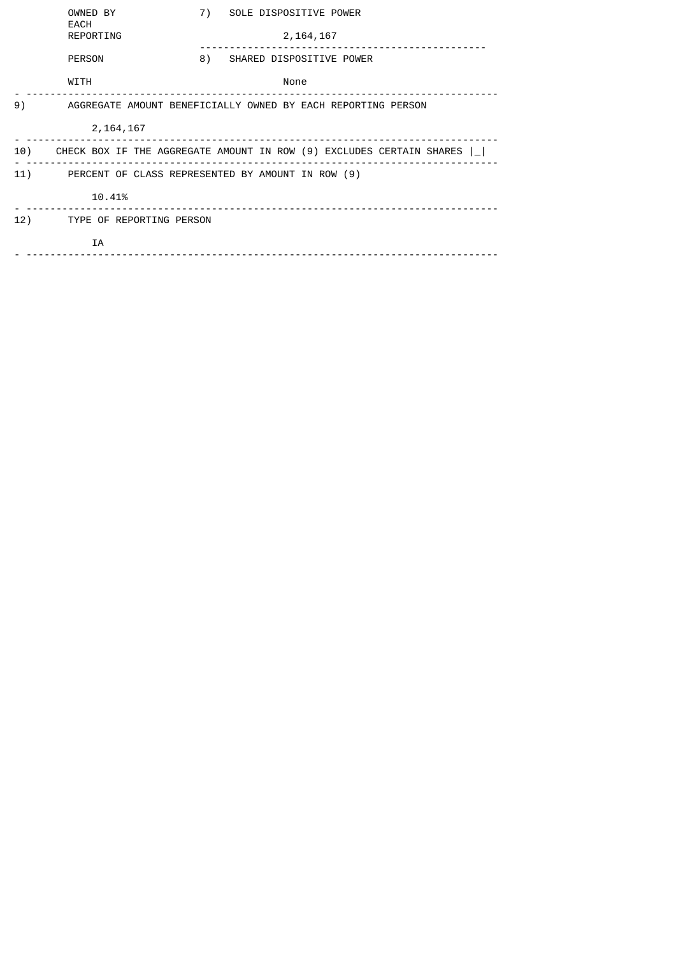|     | OWNED BY<br><b>EACH</b><br>REPORTING                         |    | 7) SOLE DISPOSITIVE POWER<br>2, 164, 167                                |  |  |  |
|-----|--------------------------------------------------------------|----|-------------------------------------------------------------------------|--|--|--|
|     | <b>PERSON</b>                                                | 8) | SHARED DISPOSITIVE POWER                                                |  |  |  |
|     | WITH                                                         |    | None                                                                    |  |  |  |
| 9)  | AGGREGATE AMOUNT BENEFICIALLY OWNED BY EACH REPORTING PERSON |    |                                                                         |  |  |  |
|     | 2, 164, 167                                                  |    |                                                                         |  |  |  |
| 10) |                                                              |    | CHECK BOX IF THE AGGREGATE AMOUNT IN ROW (9) EXCLUDES CERTAIN SHARES  _ |  |  |  |
|     |                                                              |    | 11) PERCENT OF CLASS REPRESENTED BY AMOUNT IN ROW (9)                   |  |  |  |
|     | 10.41%                                                       |    |                                                                         |  |  |  |
| 12) | TYPE OF REPORTING PERSON                                     |    |                                                                         |  |  |  |
|     | ΙA                                                           |    |                                                                         |  |  |  |
|     |                                                              |    |                                                                         |  |  |  |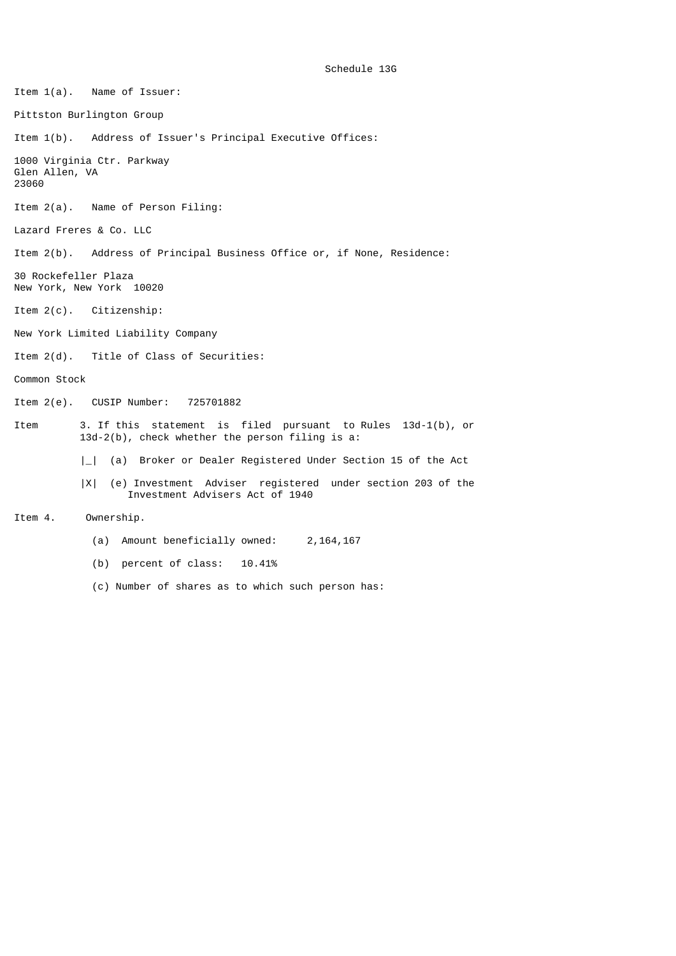```
 Schedule 13G
```
Item 1(a). Name of Issuer: Pittston Burlington Group Item 1(b). Address of Issuer's Principal Executive Offices: 1000 Virginia Ctr. Parkway Glen Allen, VA 23060 Item 2(a). Name of Person Filing: Lazard Freres & Co. LLC Item 2(b). Address of Principal Business Office or, if None, Residence: 30 Rockefeller Plaza New York, New York 10020 Item 2(c). Citizenship: New York Limited Liability Company Item 2(d). Title of Class of Securities: Common Stock Item 2(e). CUSIP Number: 725701882 Item 3. If this statement is filed pursuant to Rules 13d-1(b), or 13d-2(b), check whether the person filing is a: | | (a) Broker or Dealer Registered Under Section 15 of the Act |X| (e) Investment Adviser registered under section 203 of the Investment Advisers Act of 1940 Item 4. Ownership.

(a) Amount beneficially owned: 2,164,167

(b) percent of class: 10.41%

(c) Number of shares as to which such person has: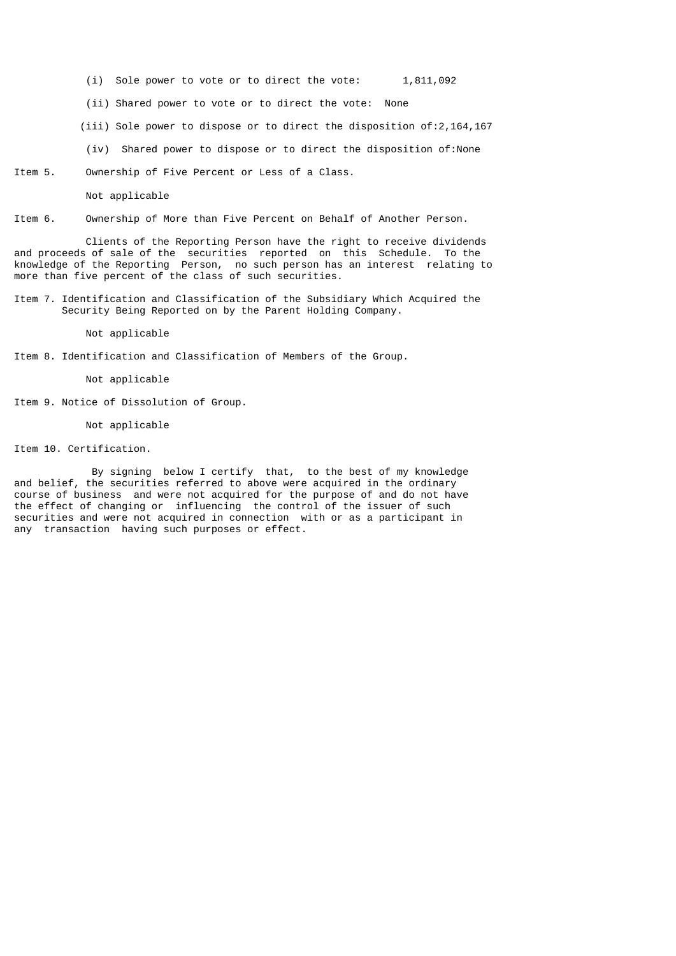- (i) Sole power to vote or to direct the vote: 1,811,092
- (ii) Shared power to vote or to direct the vote: None
- (iii) Sole power to dispose or to direct the disposition of:2,164,167
- (iv) Shared power to dispose or to direct the disposition of:None

Item 5. Ownership of Five Percent or Less of a Class.

Not applicable

Item 6. Ownership of More than Five Percent on Behalf of Another Person.

 Clients of the Reporting Person have the right to receive dividends and proceeds of sale of the securities reported on this Schedule. To the knowledge of the Reporting Person, no such person has an interest relating to more than five percent of the class of such securities.

Item 7. Identification and Classification of the Subsidiary Which Acquired the Security Being Reported on by the Parent Holding Company.

Not applicable

Item 8. Identification and Classification of Members of the Group.

Not applicable

Item 9. Notice of Dissolution of Group.

Not applicable

Item 10. Certification.

 By signing below I certify that, to the best of my knowledge and belief, the securities referred to above were acquired in the ordinary course of business and were not acquired for the purpose of and do not have the effect of changing or influencing the control of the issuer of such securities and were not acquired in connection with or as a participant in any transaction having such purposes or effect.